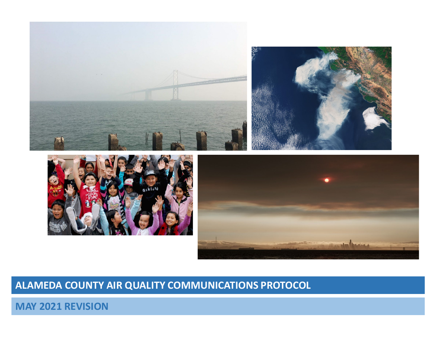

## **ALAMEDA COUNTY AIR QUALITY COMMUNICATIONS PROTOCOL**

**MAY 2021 REVISION**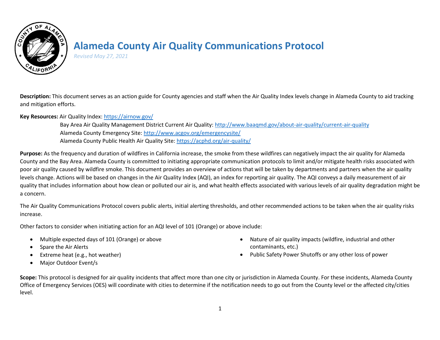

## **Alameda County Air Quality Communications Protocol**

*Revised May 27, 2021*

**Description:** This document serves as an action guide for County agencies and staff when the Air Quality Index levels change in Alameda County to aid tracking and mitigation efforts.

**Key Resources:** Air Quality Index:<https://airnow.gov/>

Bay Area Air Quality Management District Current Air Quality[: http://www.baaqmd.gov/about-air-quality/current-air-quality](http://www.baaqmd.gov/about-air-quality/current-air-quality) Alameda County Emergency Site[: http://www.acgov.org/emergencysite/](http://www.acgov.org/emergencysite/) Alameda County Public Health Air Quality Site:<https://acphd.org/air-quality/>

**Purpose:** As the frequency and duration of wildfires in California increase, the smoke from these wildfires can negatively impact the air quality for Alameda County and the Bay Area. Alameda County is committed to initiating appropriate communication protocols to limit and/or mitigate health risks associated with poor air quality caused by wildfire smoke. This document provides an overview of actions that will be taken by departments and partners when the air quality levels change. Actions will be based on changes in the Air Quality Index (AQI), an index for reporting air quality. The AQI conveys a daily measurement of air quality that includes information about how clean or polluted our air is, and what health effects associated with various levels of air quality degradation might be a concern.

The Air Quality Communications Protocol covers public alerts, initial alerting thresholds, and other recommended actions to be taken when the air quality risks increase.

Other factors to consider when initiating action for an AQI level of 101 (Orange) or above include:

- Multiple expected days of 101 (Orange) or above
- Spare the Air Alerts
- Extreme heat (e.g., hot weather)
- Major Outdoor Event/s
- Nature of air quality impacts (wildfire, industrial and other contaminants, etc.)
- Public Safety Power Shutoffs or any other loss of power

Scope: This protocol is designed for air quality incidents that affect more than one city or jurisdiction in Alameda County. For these incidents, Alameda County Office of Emergency Services (OES) will coordinate with cities to determine if the notification needs to go out from the County level or the affected city/cities level.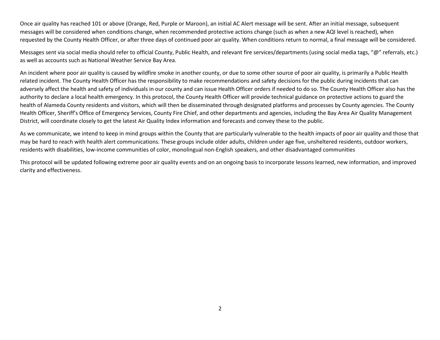Once air quality has reached 101 or above (Orange, Red, Purple or Maroon), an initial AC Alert message will be sent. After an initial message, subsequent messages will be considered when conditions change, when recommended protective actions change (such as when a new AQI level is reached), when requested by the County Health Officer, or after three days of continued poor air quality. When conditions return to normal, a final message will be considered.

Messages sent via social media should refer to official County, Public Health, and relevant fire services/departments (using social media tags, "@" referrals, etc.) as well as accounts such as National Weather Service Bay Area.

An incident where poor air quality is caused by wildfire smoke in another county, or due to some other source of poor air quality, is primarily a Public Health related incident. The County Health Officer has the responsibility to make recommendations and safety decisions for the public during incidents that can adversely affect the health and safety of individuals in our county and can issue Health Officer orders if needed to do so. The County Health Officer also has the authority to declare a local health emergency. In this protocol, the County Health Officer will provide technical guidance on protective actions to guard the health of Alameda County residents and visitors, which will then be disseminated through designated platforms and processes by County agencies. The County Health Officer, Sheriff's Office of Emergency Services, County Fire Chief, and other departments and agencies, including the Bay Area Air Quality Management District, will coordinate closely to get the latest Air Quality Index information and forecasts and convey these to the public.

As we communicate, we intend to keep in mind groups within the County that are particularly vulnerable to the health impacts of poor air quality and those that may be hard to reach with health alert communications. These groups include older adults, children under age five, unsheltered residents, outdoor workers, residents with disabilities, low-income communities of color, monolingual non-English speakers, and other disadvantaged communities

This protocol will be updated following extreme poor air quality events and on an ongoing basis to incorporate lessons learned, new information, and improved clarity and effectiveness.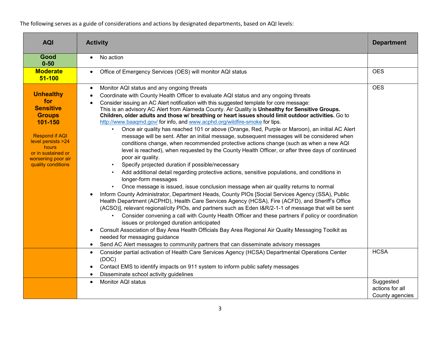The following serves as a guide of considerations and actions by designated departments, based on AQI levels:

| <b>AQI</b>                                                                                                                                                                                        | <b>Activity</b>                                                                                                                                                                                                                                                                                                                                                                                                                                                                                                                                                                                                                                                                                                                                                                                                                                                                                                                                                                                                                                                                                                                                                                                                                                                                                                                                                                                                                                                                                                                                                                                                                                                                                                                                                                                                                                                                                                                                                                                                                                                                                                                            | <b>Department</b>                               |
|---------------------------------------------------------------------------------------------------------------------------------------------------------------------------------------------------|--------------------------------------------------------------------------------------------------------------------------------------------------------------------------------------------------------------------------------------------------------------------------------------------------------------------------------------------------------------------------------------------------------------------------------------------------------------------------------------------------------------------------------------------------------------------------------------------------------------------------------------------------------------------------------------------------------------------------------------------------------------------------------------------------------------------------------------------------------------------------------------------------------------------------------------------------------------------------------------------------------------------------------------------------------------------------------------------------------------------------------------------------------------------------------------------------------------------------------------------------------------------------------------------------------------------------------------------------------------------------------------------------------------------------------------------------------------------------------------------------------------------------------------------------------------------------------------------------------------------------------------------------------------------------------------------------------------------------------------------------------------------------------------------------------------------------------------------------------------------------------------------------------------------------------------------------------------------------------------------------------------------------------------------------------------------------------------------------------------------------------------------|-------------------------------------------------|
| Good<br>$0 - 50$                                                                                                                                                                                  | No action<br>$\bullet$                                                                                                                                                                                                                                                                                                                                                                                                                                                                                                                                                                                                                                                                                                                                                                                                                                                                                                                                                                                                                                                                                                                                                                                                                                                                                                                                                                                                                                                                                                                                                                                                                                                                                                                                                                                                                                                                                                                                                                                                                                                                                                                     |                                                 |
| <b>Moderate</b><br>$51 - 100$                                                                                                                                                                     | Office of Emergency Services (OES) will monitor AQI status<br>$\bullet$                                                                                                                                                                                                                                                                                                                                                                                                                                                                                                                                                                                                                                                                                                                                                                                                                                                                                                                                                                                                                                                                                                                                                                                                                                                                                                                                                                                                                                                                                                                                                                                                                                                                                                                                                                                                                                                                                                                                                                                                                                                                    | <b>OES</b>                                      |
| <b>Unhealthy</b><br>for<br><b>Sensitive</b><br><b>Groups</b><br>101-150<br><b>Respond if AQI</b><br>level persists >24<br>hours<br>or in sustained or<br>worsening poor air<br>quality conditions | Monitor AQI status and any ongoing threats<br>$\bullet$<br>Coordinate with County Health Officer to evaluate AQI status and any ongoing threats<br>Consider issuing an AC Alert notification with this suggested template for core message:<br>This is an advisory AC Alert from Alameda County. Air Quality is Unhealthy for Sensitive Groups.<br>Children, older adults and those w/ breathing or heart issues should limit outdoor activities. Go to<br>http://www.baaqmd.gov/ for info, and www.acphd.org/wildfire-smoke for tips.<br>Once air quality has reached 101 or above (Orange, Red, Purple or Maroon), an initial AC Alert<br>message will be sent. After an initial message, subsequent messages will be considered when<br>conditions change, when recommended protective actions change (such as when a new AQI<br>level is reached), when requested by the County Health Officer, or after three days of continued<br>poor air quality.<br>Specify projected duration if possible/necessary<br>Add additional detail regarding protective actions, sensitive populations, and conditions in<br>longer-form messages<br>Once message is issued, issue conclusion message when air quality returns to normal<br>Inform County Administrator, Department Heads, County PIOs [Social Services Agency (SSA), Public<br>Health Department (ACPHD), Health Care Services Agency (HCSA), Fire (ACFD), and Sheriff's Office<br>(ACSO)], relevant regional/city PIOs, and partners such as Eden I&R/2-1-1 of message that will be sent<br>Consider convening a call with County Health Officer and these partners if policy or coordination<br>issues or prolonged duration anticipated<br>Consult Association of Bay Area Health Officials Bay Area Regional Air Quality Messaging Toolkit as<br>needed for messaging guidance<br>Send AC Alert messages to community partners that can disseminate advisory messages<br>Consider partial activation of Health Care Services Agency (HCSA) Departmental Operations Center<br>$\bullet$<br>(DOC)<br>Contact EMS to identify impacts on 911 system to inform public safety messages | <b>OES</b><br><b>HCSA</b>                       |
|                                                                                                                                                                                                   | Disseminate school activity guidelines<br>Monitor AQI status<br>$\bullet$                                                                                                                                                                                                                                                                                                                                                                                                                                                                                                                                                                                                                                                                                                                                                                                                                                                                                                                                                                                                                                                                                                                                                                                                                                                                                                                                                                                                                                                                                                                                                                                                                                                                                                                                                                                                                                                                                                                                                                                                                                                                  | Suggested<br>actions for all<br>County agencies |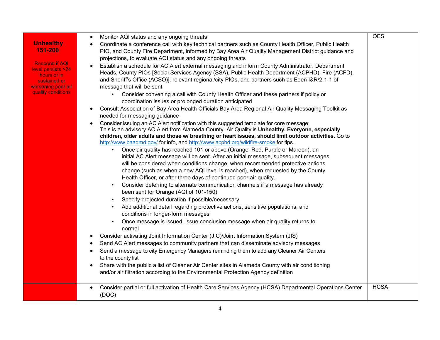| <b>Unhealthy</b><br>151-200<br><b>Respond if AQI</b><br><u>level persists &gt;24</u><br>hours or in<br>sustained or<br><u>worsening poor air</u><br>quality conditions | Monitor AQI status and any ongoing threats<br>٠<br>Coordinate a conference call with key technical partners such as County Health Officer, Public Health<br>$\bullet$<br>PIO, and County Fire Department, informed by Bay Area Air Quality Management District guidance and<br>projections, to evaluate AQI status and any ongoing threats<br>Establish a schedule for AC Alert external messaging and inform County Administrator, Department<br>Heads, County PIOs [Social Services Agency (SSA), Public Health Department (ACPHD), Fire (ACFD),<br>and Sheriff's Office (ACSO)], relevant regional/city PIOs, and partners such as Eden I&R/2-1-1 of<br>message that will be sent<br>Consider convening a call with County Health Officer and these partners if policy or<br>coordination issues or prolonged duration anticipated<br>Consult Association of Bay Area Health Officials Bay Area Regional Air Quality Messaging Toolkit as<br>$\bullet$<br>needed for messaging guidance<br>Consider issuing an AC Alert notification with this suggested template for core message:<br>$\bullet$<br>This is an advisory AC Alert from Alameda County. Air Quality is Unhealthy. Everyone, especially<br>children, older adults and those w/ breathing or heart issues, should limit outdoor activities. Go to<br>http://www.baaqmd.gov/ for info, and http://www.acphd.org/wildfire-smoke for tips.<br>Once air quality has reached 101 or above (Orange, Red, Purple or Maroon), an<br>initial AC Alert message will be sent. After an initial message, subsequent messages<br>will be considered when conditions change, when recommended protective actions<br>change (such as when a new AQI level is reached), when requested by the County<br>Health Officer, or after three days of continued poor air quality.<br>Consider deferring to alternate communication channels if a message has already<br>$\bullet$<br>been sent for Orange (AQI of 101-150)<br>Specify projected duration if possible/necessary<br>Add additional detail regarding protective actions, sensitive populations, and<br>conditions in longer-form messages<br>Once message is issued, issue conclusion message when air quality returns to<br>normal<br>Consider activating Joint Information Center (JIC)/Joint Information System (JIS)<br>٠<br>Send AC Alert messages to community partners that can disseminate advisory messages<br>٠<br>Send a message to city Emergency Managers reminding them to add any Cleaner Air Centers<br>$\bullet$<br>to the county list<br>Share with the public a list of Cleaner Air Center sites in Alameda County with air conditioning<br>$\bullet$<br>and/or air filtration according to the Environmental Protection Agency definition | <b>OES</b>  |
|------------------------------------------------------------------------------------------------------------------------------------------------------------------------|--------------------------------------------------------------------------------------------------------------------------------------------------------------------------------------------------------------------------------------------------------------------------------------------------------------------------------------------------------------------------------------------------------------------------------------------------------------------------------------------------------------------------------------------------------------------------------------------------------------------------------------------------------------------------------------------------------------------------------------------------------------------------------------------------------------------------------------------------------------------------------------------------------------------------------------------------------------------------------------------------------------------------------------------------------------------------------------------------------------------------------------------------------------------------------------------------------------------------------------------------------------------------------------------------------------------------------------------------------------------------------------------------------------------------------------------------------------------------------------------------------------------------------------------------------------------------------------------------------------------------------------------------------------------------------------------------------------------------------------------------------------------------------------------------------------------------------------------------------------------------------------------------------------------------------------------------------------------------------------------------------------------------------------------------------------------------------------------------------------------------------------------------------------------------------------------------------------------------------------------------------------------------------------------------------------------------------------------------------------------------------------------------------------------------------------------------------------------------------------------------------------------------------------------------------------------------------------------------------------------------------------------------------------------------------------------------------------------------------------------------------------------|-------------|
|                                                                                                                                                                        | Consider partial or full activation of Health Care Services Agency (HCSA) Departmental Operations Center<br>$\bullet$<br>(DOC)                                                                                                                                                                                                                                                                                                                                                                                                                                                                                                                                                                                                                                                                                                                                                                                                                                                                                                                                                                                                                                                                                                                                                                                                                                                                                                                                                                                                                                                                                                                                                                                                                                                                                                                                                                                                                                                                                                                                                                                                                                                                                                                                                                                                                                                                                                                                                                                                                                                                                                                                                                                                                                     | <b>HCSA</b> |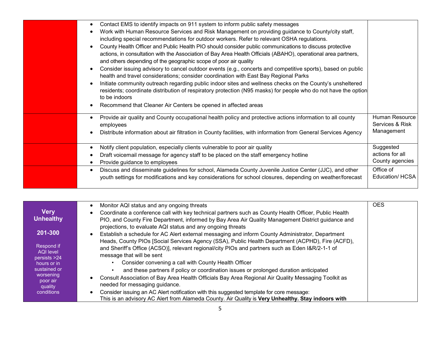| Contact EMS to identify impacts on 911 system to inform public safety messages<br>٠<br>Work with Human Resource Services and Risk Management on providing guidance to County/city staff,<br>including special recommendations for outdoor workers. Refer to relevant OSHA regulations.<br>County Health Officer and Public Health PIO should consider public communications to discuss protective<br>$\bullet$<br>actions, in consultation with the Association of Bay Area Health Officials (ABAHO), operational area partners,<br>and others depending of the geographic scope of poor air quality<br>Consider issuing advisory to cancel outdoor events (e.g., concerts and competitive sports), based on public<br>health and travel considerations; consider coordination with East Bay Regional Parks<br>Initiate community outreach regarding public indoor sites and wellness checks on the County's unsheltered<br>residents; coordinate distribution of respiratory protection (N95 masks) for people who do not have the option<br>to be indoors<br>Recommend that Cleaner Air Centers be opened in affected areas |                                                 |
|-------------------------------------------------------------------------------------------------------------------------------------------------------------------------------------------------------------------------------------------------------------------------------------------------------------------------------------------------------------------------------------------------------------------------------------------------------------------------------------------------------------------------------------------------------------------------------------------------------------------------------------------------------------------------------------------------------------------------------------------------------------------------------------------------------------------------------------------------------------------------------------------------------------------------------------------------------------------------------------------------------------------------------------------------------------------------------------------------------------------------------|-------------------------------------------------|
| Provide air quality and County occupational health policy and protective actions information to all county<br>$\bullet$<br>employees<br>Distribute information about air filtration in County facilities, with information from General Services Agency                                                                                                                                                                                                                                                                                                                                                                                                                                                                                                                                                                                                                                                                                                                                                                                                                                                                       | Human Resource<br>Services & Risk<br>Management |
| Notify client population, especially clients vulnerable to poor air quality<br>$\bullet$<br>Draft voicemail message for agency staff to be placed on the staff emergency hotline<br>Provide guidance to employees                                                                                                                                                                                                                                                                                                                                                                                                                                                                                                                                                                                                                                                                                                                                                                                                                                                                                                             | Suggested<br>actions for all<br>County agencies |
| Discuss and disseminate guidelines for school, Alameda County Juvenile Justice Center (JJC), and other<br>$\bullet$<br>youth settings for modifications and key considerations for school closures, depending on weather/forecast                                                                                                                                                                                                                                                                                                                                                                                                                                                                                                                                                                                                                                                                                                                                                                                                                                                                                             | Office of<br>Education/ HCSA                    |

|                         | Monitor AQI status and any ongoing threats                                                            | <b>OES</b> |
|-------------------------|-------------------------------------------------------------------------------------------------------|------------|
| <b>Very</b>             | Coordinate a conference call with key technical partners such as County Health Officer, Public Health |            |
| <b>Unhealthy</b>        | PIO, and County Fire Department, informed by Bay Area Air Quality Management District guidance and    |            |
|                         | projections, to evaluate AQI status and any ongoing threats                                           |            |
| 201-300                 | Establish a schedule for AC Alert external messaging and inform County Administrator, Department      |            |
|                         | Heads, County PIOs [Social Services Agency (SSA), Public Health Department (ACPHD), Fire (ACFD),      |            |
| Respond if<br>AQI level | and Sheriff's Office (ACSO)], relevant regional/city PIOs and partners such as Eden I&R/2-1-1 of      |            |
| persists > 24           | message that will be sent                                                                             |            |
| hours or in             | Consider convening a call with County Health Officer                                                  |            |
| sustained or            | and these partners if policy or coordination issues or prolonged duration anticipated                 |            |
| worsening<br>poor air   | Consult Association of Bay Area Health Officials Bay Area Regional Air Quality Messaging Toolkit as   |            |
| quality                 | needed for messaging guidance.                                                                        |            |
| conditions              | Consider issuing an AC Alert notification with this suggested template for core message:              |            |
|                         | This is an advisory AC Alert from Alameda County. Air Quality is Very Unhealthy. Stay indoors with    |            |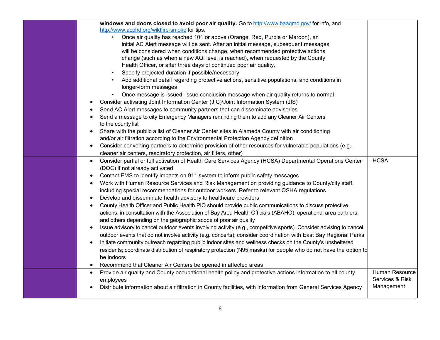| windows and doors closed to avoid poor air quality. Go to http://www.baaqmd.gov/ for info, and                                  |                 |
|---------------------------------------------------------------------------------------------------------------------------------|-----------------|
| http://www.acphd.org/wildfire-smoke for tips.                                                                                   |                 |
| Once air quality has reached 101 or above (Orange, Red, Purple or Maroon), an                                                   |                 |
| initial AC Alert message will be sent. After an initial message, subsequent messages                                            |                 |
| will be considered when conditions change, when recommended protective actions                                                  |                 |
| change (such as when a new AQI level is reached), when requested by the County                                                  |                 |
| Health Officer, or after three days of continued poor air quality.                                                              |                 |
| Specify projected duration if possible/necessary<br>$\bullet$                                                                   |                 |
| Add additional detail regarding protective actions, sensitive populations, and conditions in                                    |                 |
| longer-form messages                                                                                                            |                 |
| Once message is issued, issue conclusion message when air quality returns to normal                                             |                 |
| Consider activating Joint Information Center (JIC)/Joint Information System (JIS)<br>$\bullet$                                  |                 |
| Send AC Alert messages to community partners that can disseminate advisories<br>$\bullet$                                       |                 |
| Send a message to city Emergency Managers reminding them to add any Cleaner Air Centers<br>$\bullet$                            |                 |
| to the county list                                                                                                              |                 |
| Share with the public a list of Cleaner Air Center sites in Alameda County with air conditioning<br>$\bullet$                   |                 |
| and/or air filtration according to the Environmental Protection Agency definition                                               |                 |
| Consider convening partners to determine provision of other resources for vulnerable populations (e.g.,<br>$\bullet$            |                 |
| cleaner air centers, respiratory protection, air filters, other)                                                                |                 |
| Consider partial or full activation of Health Care Services Agency (HCSA) Departmental Operations Center<br>$\bullet$           | <b>HCSA</b>     |
| (DOC) if not already activated                                                                                                  |                 |
| Contact EMS to identify impacts on 911 system to inform public safety messages<br>$\bullet$                                     |                 |
| Work with Human Resource Services and Risk Management on providing guidance to County/city staff,<br>$\bullet$                  |                 |
| including special recommendations for outdoor workers. Refer to relevant OSHA regulations.                                      |                 |
| Develop and disseminate health advisory to healthcare providers<br>$\bullet$                                                    |                 |
| County Health Officer and Public Health PIO should provide public communications to discuss protective<br>$\bullet$             |                 |
| actions, in consultation with the Association of Bay Area Health Officials (ABAHO), operational area partners,                  |                 |
|                                                                                                                                 |                 |
| and others depending on the geographic scope of poor air quality                                                                |                 |
| Issue advisory to cancel outdoor events involving activity (e.g., competitive sports). Consider advising to cancel<br>$\bullet$ |                 |
| outdoor events that do not involve activity (e.g. concerts); consider coordination with East Bay Regional Parks                 |                 |
| Initiate community outreach regarding public indoor sites and wellness checks on the County's unsheltered<br>$\bullet$          |                 |
| residents; coordinate distribution of respiratory protection (N95 masks) for people who do not have the option to               |                 |
| be indoors                                                                                                                      |                 |
| Recommend that Cleaner Air Centers be opened in affected areas<br>$\bullet$                                                     |                 |
| Provide air quality and County occupational health policy and protective actions information to all county<br>$\bullet$         | Human Resource  |
| employees                                                                                                                       | Services & Risk |
| Distribute information about air filtration in County facilities, with information from General Services Agency                 | Management      |
|                                                                                                                                 |                 |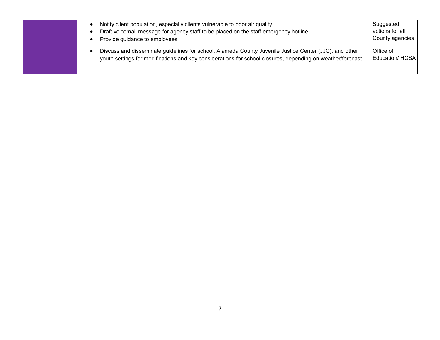|  | Notify client population, especially clients vulnerable to poor air quality<br>Draft voicemail message for agency staff to be placed on the staff emergency hotline<br>Provide guidance to employees                 | Suggested<br>actions for all<br>County agencies |
|--|----------------------------------------------------------------------------------------------------------------------------------------------------------------------------------------------------------------------|-------------------------------------------------|
|  | Discuss and disseminate guidelines for school, Alameda County Juvenile Justice Center (JJC), and other<br>youth settings for modifications and key considerations for school closures, depending on weather/forecast | Office of<br><b>Education/ HCSA</b>             |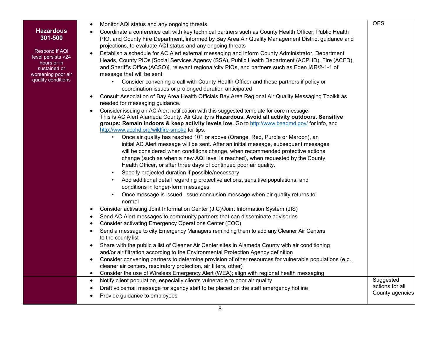|                             | Monitor AQI status and any ongoing threats<br>$\bullet$                                                                                                                                            | <b>OES</b>                   |
|-----------------------------|----------------------------------------------------------------------------------------------------------------------------------------------------------------------------------------------------|------------------------------|
| <b>Hazardous</b><br>301-500 | Coordinate a conference call with key technical partners such as County Health Officer, Public Health                                                                                              |                              |
|                             | PIO, and County Fire Department, informed by Bay Area Air Quality Management District guidance and<br>projections, to evaluate AQI status and any ongoing threats                                  |                              |
| Respond if AQI              | Establish a schedule for AC Alert external messaging and inform County Administrator, Department                                                                                                   |                              |
| level persists >24          | Heads, County PIOs [Social Services Agency (SSA), Public Health Department (ACPHD), Fire (ACFD),                                                                                                   |                              |
| hours or in<br>sustained or | and Sheriff's Office (ACSO)], relevant regional/city PIOs, and partners such as Eden I&R/2-1-1 of                                                                                                  |                              |
| worsening poor air          | message that will be sent                                                                                                                                                                          |                              |
| quality conditions          | Consider convening a call with County Health Officer and these partners if policy or                                                                                                               |                              |
|                             | coordination issues or prolonged duration anticipated                                                                                                                                              |                              |
|                             | Consult Association of Bay Area Health Officials Bay Area Regional Air Quality Messaging Toolkit as<br>$\bullet$                                                                                   |                              |
|                             | needed for messaging guidance.                                                                                                                                                                     |                              |
|                             | Consider issuing an AC Alert notification with this suggested template for core message:<br>$\bullet$                                                                                              |                              |
|                             | This is AC Alert Alameda County. Air Quality is Hazardous. Avoid all activity outdoors. Sensitive<br>groups: Remain indoors & keep activity levels low. Go to http://www.baaqmd.gov/ for info, and |                              |
|                             | http://www.acphd.org/wildfire-smoke for tips.                                                                                                                                                      |                              |
|                             | Once air quality has reached 101 or above (Orange, Red, Purple or Maroon), an                                                                                                                      |                              |
|                             | initial AC Alert message will be sent. After an initial message, subsequent messages                                                                                                               |                              |
|                             | will be considered when conditions change, when recommended protective actions                                                                                                                     |                              |
|                             | change (such as when a new AQI level is reached), when requested by the County                                                                                                                     |                              |
|                             | Health Officer, or after three days of continued poor air quality.                                                                                                                                 |                              |
|                             | Specify projected duration if possible/necessary<br>$\bullet$                                                                                                                                      |                              |
|                             | Add additional detail regarding protective actions, sensitive populations, and                                                                                                                     |                              |
|                             | conditions in longer-form messages                                                                                                                                                                 |                              |
|                             | Once message is issued, issue conclusion message when air quality returns to                                                                                                                       |                              |
|                             | normal                                                                                                                                                                                             |                              |
|                             | Consider activating Joint Information Center (JIC)/Joint Information System (JIS)<br>٠<br>Send AC Alert messages to community partners that can disseminate advisories                             |                              |
|                             | $\bullet$<br>Consider activating Emergency Operations Center (EOC)<br>$\bullet$                                                                                                                    |                              |
|                             | Send a message to city Emergency Managers reminding them to add any Cleaner Air Centers<br>$\bullet$                                                                                               |                              |
|                             | to the county list                                                                                                                                                                                 |                              |
|                             | Share with the public a list of Cleaner Air Center sites in Alameda County with air conditioning                                                                                                   |                              |
|                             | and/or air filtration according to the Environmental Protection Agency definition                                                                                                                  |                              |
|                             | Consider convening partners to determine provision of other resources for vulnerable populations (e.g.,<br>$\bullet$                                                                               |                              |
|                             | cleaner air centers, respiratory protection, air filters, other)                                                                                                                                   |                              |
|                             | Consider the use of Wireless Emergency Alert (WEA); align with regional health messaging                                                                                                           |                              |
|                             | Notify client population, especially clients vulnerable to poor air quality<br>$\bullet$                                                                                                           | Suggested<br>actions for all |
|                             | Draft voicemail message for agency staff to be placed on the staff emergency hotline                                                                                                               | County agencies              |
|                             | Provide guidance to employees                                                                                                                                                                      |                              |
|                             |                                                                                                                                                                                                    |                              |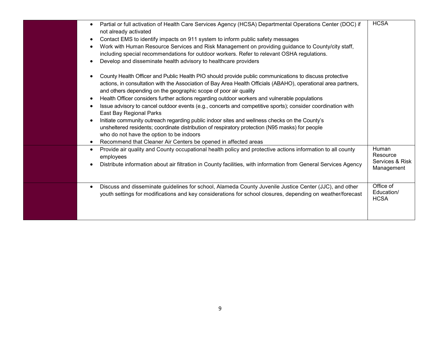|                                                                                                                              | <b>HCSA</b>     |
|------------------------------------------------------------------------------------------------------------------------------|-----------------|
| Partial or full activation of Health Care Services Agency (HCSA) Departmental Operations Center (DOC) if<br>$\bullet$        |                 |
| not already activated                                                                                                        |                 |
| Contact EMS to identify impacts on 911 system to inform public safety messages<br>$\bullet$                                  |                 |
| Work with Human Resource Services and Risk Management on providing guidance to County/city staff,<br>$\bullet$               |                 |
| including special recommendations for outdoor workers. Refer to relevant OSHA regulations.                                   |                 |
| Develop and disseminate health advisory to healthcare providers<br>$\bullet$                                                 |                 |
| County Health Officer and Public Health PIO should provide public communications to discuss protective<br>$\bullet$          |                 |
| actions, in consultation with the Association of Bay Area Health Officials (ABAHO), operational area partners,               |                 |
| and others depending on the geographic scope of poor air quality                                                             |                 |
| Health Officer considers further actions regarding outdoor workers and vulnerable populations<br>$\bullet$                   |                 |
| Issue advisory to cancel outdoor events (e.g., concerts and competitive sports); consider coordination with<br>$\bullet$     |                 |
| East Bay Regional Parks                                                                                                      |                 |
| Initiate community outreach regarding public indoor sites and wellness checks on the County's<br>$\bullet$                   |                 |
| unsheltered residents; coordinate distribution of respiratory protection (N95 masks) for people                              |                 |
| who do not have the option to be indoors                                                                                     |                 |
| Recommend that Cleaner Air Centers be opened in affected areas<br>$\bullet$                                                  |                 |
| Provide air quality and County occupational health policy and protective actions information to all county<br>$\bullet$      | Human           |
|                                                                                                                              | Resource        |
| employees                                                                                                                    | Services & Risk |
| Distribute information about air filtration in County facilities, with information from General Services Agency<br>$\bullet$ | Management      |
|                                                                                                                              |                 |
|                                                                                                                              | Office of       |
| Discuss and disseminate guidelines for school, Alameda County Juvenile Justice Center (JJC), and other<br>$\bullet$          | Education/      |
| youth settings for modifications and key considerations for school closures, depending on weather/forecast                   | <b>HCSA</b>     |
|                                                                                                                              |                 |
|                                                                                                                              |                 |
|                                                                                                                              |                 |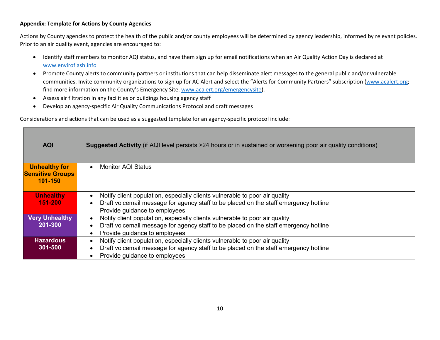## **Appendix: Template for Actions by County Agencies**

Actions by County agencies to protect the health of the public and/or county employees will be determined by agency leadership, informed by relevant policies. Prior to an air quality event, agencies are encouraged to:

- Identify staff members to monitor AQI status, and have them sign up for email notifications when an Air Quality Action Day is declared at [www.enviroflash.info](http://www.enviroflash.info/)
- Promote County alerts to community partners or institutions that can help disseminate alert messages to the general public and/or vulnerable communities. Invite community organizations to sign up for AC Alert and select the "Alerts for Community Partners" subscription [\(www.acalert.org;](http://www.acalert.org/) find more information on the County's Emergency Site, [www.acalert.org/emergencysite\)](http://www.acalert.org/emergencysite).
- Assess air filtration in any facilities or buildings housing agency staff
- Develop an agency-specific Air Quality Communications Protocol and draft messages

Considerations and actions that can be used as a suggested template for an agency-specific protocol include:

| <b>AQI</b>                                                 | <b>Suggested Activity</b> (if AQI level persists >24 hours or in sustained or worsening poor air quality conditions)  |  |  |
|------------------------------------------------------------|-----------------------------------------------------------------------------------------------------------------------|--|--|
| <b>Unhealthy for</b><br><b>Sensitive Groups</b><br>101-150 | <b>Monitor AQI Status</b>                                                                                             |  |  |
| <b>Unhealthy</b>                                           | Notify client population, especially clients vulnerable to poor air quality                                           |  |  |
| 151-200                                                    | Draft voicemail message for agency staff to be placed on the staff emergency hotline<br>Provide guidance to employees |  |  |
| <b>Very Unhealthy</b>                                      | Notify client population, especially clients vulnerable to poor air quality                                           |  |  |
| 201-300                                                    | Draft voicemail message for agency staff to be placed on the staff emergency hotline                                  |  |  |
|                                                            | Provide guidance to employees                                                                                         |  |  |
| <b>Hazardous</b>                                           | Notify client population, especially clients vulnerable to poor air quality                                           |  |  |
| 301-500                                                    | Draft voicemail message for agency staff to be placed on the staff emergency hotline                                  |  |  |
|                                                            | Provide guidance to employees                                                                                         |  |  |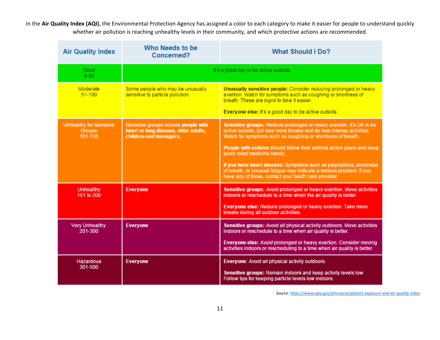In the **Air Quality Index (AQI)**, the Environmental Protection Agency has assigned a color to each category to make it easier for people to understand quickly whether air pollution is reaching unhealthy levels in their community, and which protective actions are recommended.

| <b>Air Quality Index</b>                                   | Who Needs to be<br>Concerned?                                                                           | <b>What Should I Do?</b>                                                                                                                                                                                                                                                                                                                                                                                                                                                                                                 |
|------------------------------------------------------------|---------------------------------------------------------------------------------------------------------|--------------------------------------------------------------------------------------------------------------------------------------------------------------------------------------------------------------------------------------------------------------------------------------------------------------------------------------------------------------------------------------------------------------------------------------------------------------------------------------------------------------------------|
| Good<br>$0 - 50$                                           | It's a great day to be active outside.                                                                  |                                                                                                                                                                                                                                                                                                                                                                                                                                                                                                                          |
| Moderate<br>$51 - 100$                                     | Some people who may be unusually<br>sensitive to particle pollution.                                    | Unusually sensitive people: Consider reducing prolonged or heavy<br>exertion. Watch for symptoms such as coughing or shortness of<br>breath. These are signs to take it easier.<br>Everyone else: It's a good day to be active outside.                                                                                                                                                                                                                                                                                  |
| <b>Unhealthy for Sensitive</b><br><b>Groups</b><br>101-150 | Sensitive groups include people with<br>heart or lung disease, older adults,<br>children and teenagers. | Sensitive groups: Reduce prolonged or heavy exertion. It's OK to be<br>active outside, but take more breaks and do less intense activities.<br>Watch for symptoms such as coughing or shortness of breath.<br>People with asthma should follow their asthma action plans and keep<br>quick relief medicine handy.<br>If you have heart disease: Symptoms such as palpitations, shortness<br>of breath, or unusual fatigue may indicate a serious problem. If you<br>have any of these, contact your heath care provider. |
| <b>Unhealthy</b><br>151 to 200                             | <b>Everyone</b>                                                                                         | Sensitive groups: Avoid prolonged or heavy exertion. Move activities<br>indoors or reschedule to a time when the air quality is better.<br>Everyone else: Reduce prolonged or heavy exertion. Take more<br>breaks during all outdoor activities.                                                                                                                                                                                                                                                                         |
| <b>Very Unhealthy</b><br>201-300                           | <b>Everyone</b>                                                                                         | Sensitive groups: Avoid all physical activity outdoors. Move activities<br>indoors or reschedule to a time when air quality is better.<br>Everyone else: Avoid prolonged or heavy exertion. Consider moving<br>activities indoors or rescheduling to a time when air quality is better.                                                                                                                                                                                                                                  |
| <b>Hazardous</b><br>301-500                                | <b>Everyone</b>                                                                                         | Everyone: Avoid all physical activity outdoors.<br>Sensitive groups: Remain indoors and keep activity levels low.<br>Follow tips for keeping particle levels low indoors.                                                                                                                                                                                                                                                                                                                                                |

*Source[: https://www.epa.gov/pmcourse/patient-exposure-and-air-quality-index](https://www.epa.gov/pmcourse/patient-exposure-and-air-quality-index)*